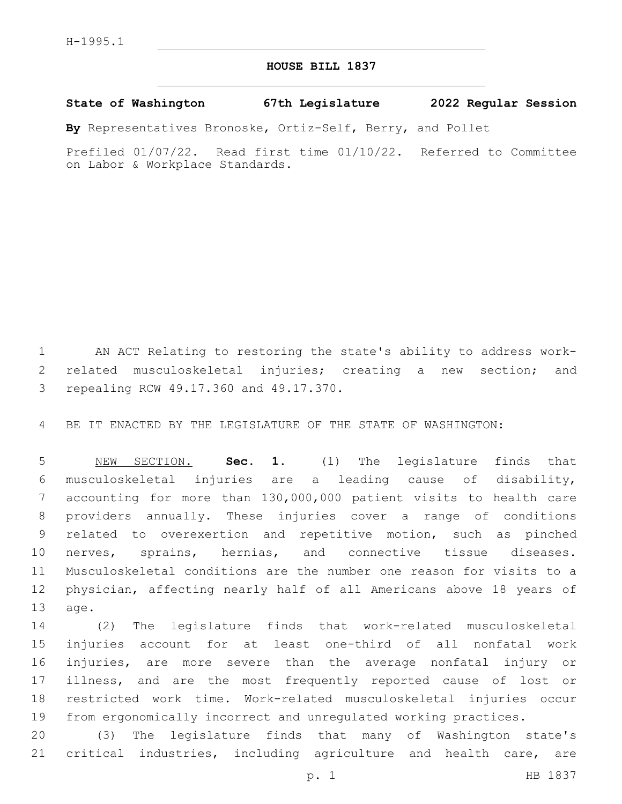## **HOUSE BILL 1837**

## **State of Washington 67th Legislature 2022 Regular Session**

**By** Representatives Bronoske, Ortiz-Self, Berry, and Pollet

Prefiled 01/07/22. Read first time 01/10/22. Referred to Committee on Labor & Workplace Standards.

 AN ACT Relating to restoring the state's ability to address work- related musculoskeletal injuries; creating a new section; and 3 repealing RCW 49.17.360 and 49.17.370.

BE IT ENACTED BY THE LEGISLATURE OF THE STATE OF WASHINGTON:

 NEW SECTION. **Sec. 1.** (1) The legislature finds that musculoskeletal injuries are a leading cause of disability, accounting for more than 130,000,000 patient visits to health care providers annually. These injuries cover a range of conditions related to overexertion and repetitive motion, such as pinched nerves, sprains, hernias, and connective tissue diseases. Musculoskeletal conditions are the number one reason for visits to a physician, affecting nearly half of all Americans above 18 years of age.

 (2) The legislature finds that work-related musculoskeletal injuries account for at least one-third of all nonfatal work injuries, are more severe than the average nonfatal injury or illness, and are the most frequently reported cause of lost or restricted work time. Work-related musculoskeletal injuries occur from ergonomically incorrect and unregulated working practices.

 (3) The legislature finds that many of Washington state's critical industries, including agriculture and health care, are

p. 1 HB 1837